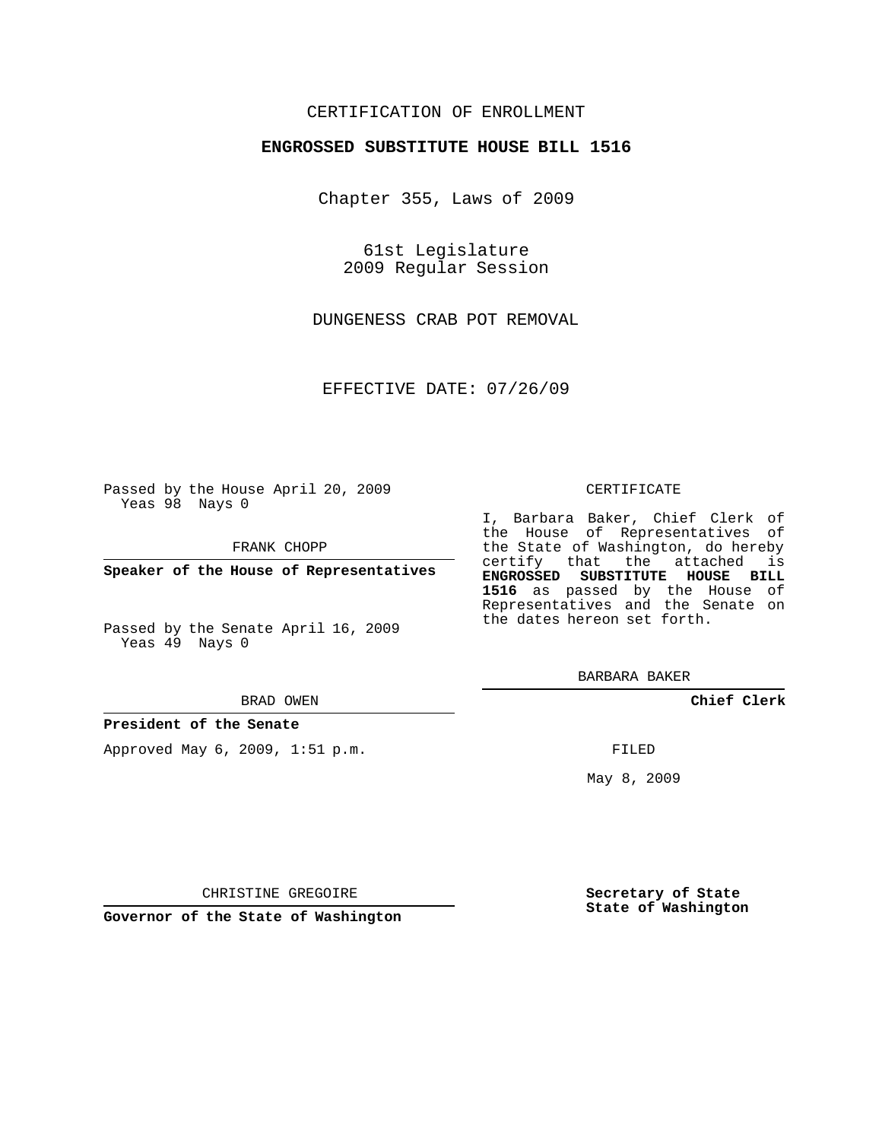### CERTIFICATION OF ENROLLMENT

### **ENGROSSED SUBSTITUTE HOUSE BILL 1516**

Chapter 355, Laws of 2009

61st Legislature 2009 Regular Session

DUNGENESS CRAB POT REMOVAL

EFFECTIVE DATE: 07/26/09

Passed by the House April 20, 2009 Yeas 98 Nays 0

FRANK CHOPP

**Speaker of the House of Representatives**

Passed by the Senate April 16, 2009 Yeas 49 Nays 0

#### BRAD OWEN

#### **President of the Senate**

Approved May 6, 2009, 1:51 p.m.

#### CERTIFICATE

I, Barbara Baker, Chief Clerk of the House of Representatives of the State of Washington, do hereby certify that the attached is **ENGROSSED SUBSTITUTE HOUSE BILL 1516** as passed by the House of Representatives and the Senate on the dates hereon set forth.

BARBARA BAKER

**Chief Clerk**

FILED

May 8, 2009

**Secretary of State State of Washington**

CHRISTINE GREGOIRE

**Governor of the State of Washington**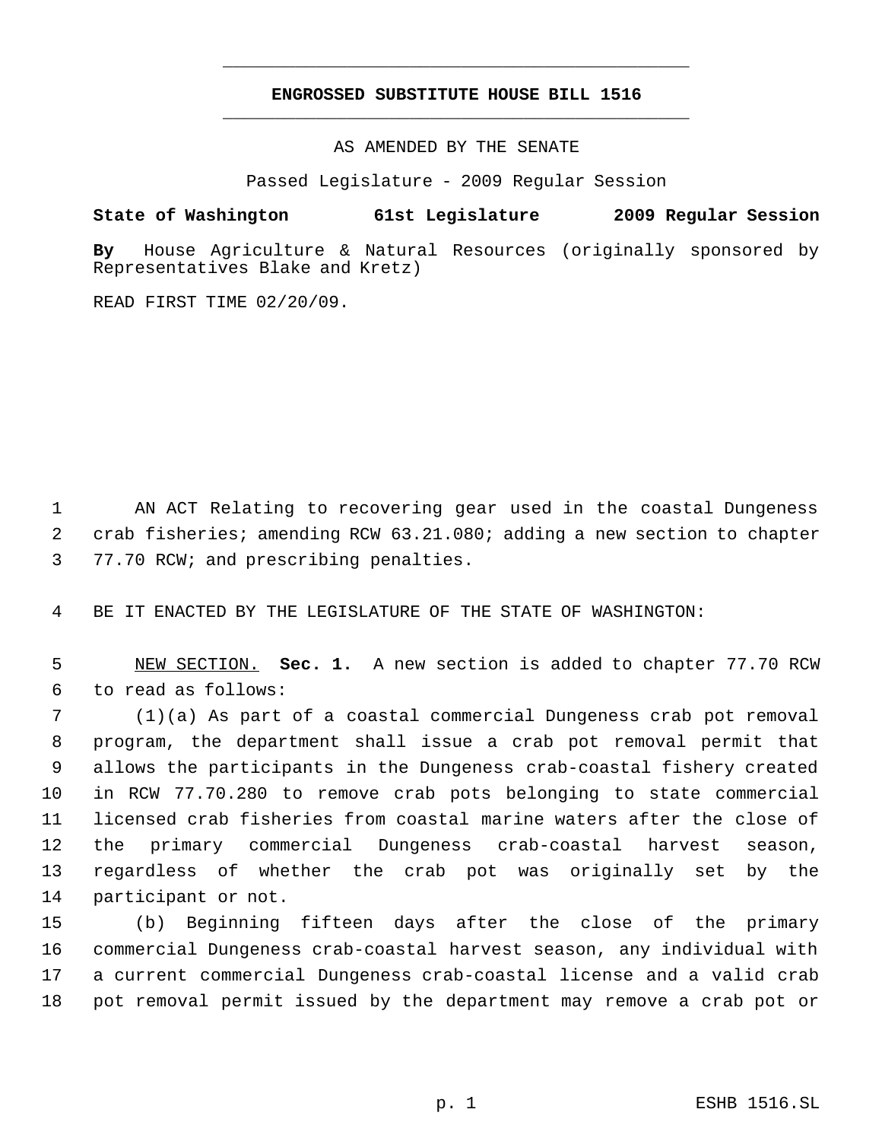## **ENGROSSED SUBSTITUTE HOUSE BILL 1516** \_\_\_\_\_\_\_\_\_\_\_\_\_\_\_\_\_\_\_\_\_\_\_\_\_\_\_\_\_\_\_\_\_\_\_\_\_\_\_\_\_\_\_\_\_

\_\_\_\_\_\_\_\_\_\_\_\_\_\_\_\_\_\_\_\_\_\_\_\_\_\_\_\_\_\_\_\_\_\_\_\_\_\_\_\_\_\_\_\_\_

AS AMENDED BY THE SENATE

Passed Legislature - 2009 Regular Session

# **State of Washington 61st Legislature 2009 Regular Session**

**By** House Agriculture & Natural Resources (originally sponsored by Representatives Blake and Kretz)

READ FIRST TIME 02/20/09.

 AN ACT Relating to recovering gear used in the coastal Dungeness crab fisheries; amending RCW 63.21.080; adding a new section to chapter 77.70 RCW; and prescribing penalties.

BE IT ENACTED BY THE LEGISLATURE OF THE STATE OF WASHINGTON:

 NEW SECTION. **Sec. 1.** A new section is added to chapter 77.70 RCW to read as follows:

 (1)(a) As part of a coastal commercial Dungeness crab pot removal program, the department shall issue a crab pot removal permit that allows the participants in the Dungeness crab-coastal fishery created in RCW 77.70.280 to remove crab pots belonging to state commercial licensed crab fisheries from coastal marine waters after the close of the primary commercial Dungeness crab-coastal harvest season, regardless of whether the crab pot was originally set by the participant or not.

 (b) Beginning fifteen days after the close of the primary commercial Dungeness crab-coastal harvest season, any individual with a current commercial Dungeness crab-coastal license and a valid crab pot removal permit issued by the department may remove a crab pot or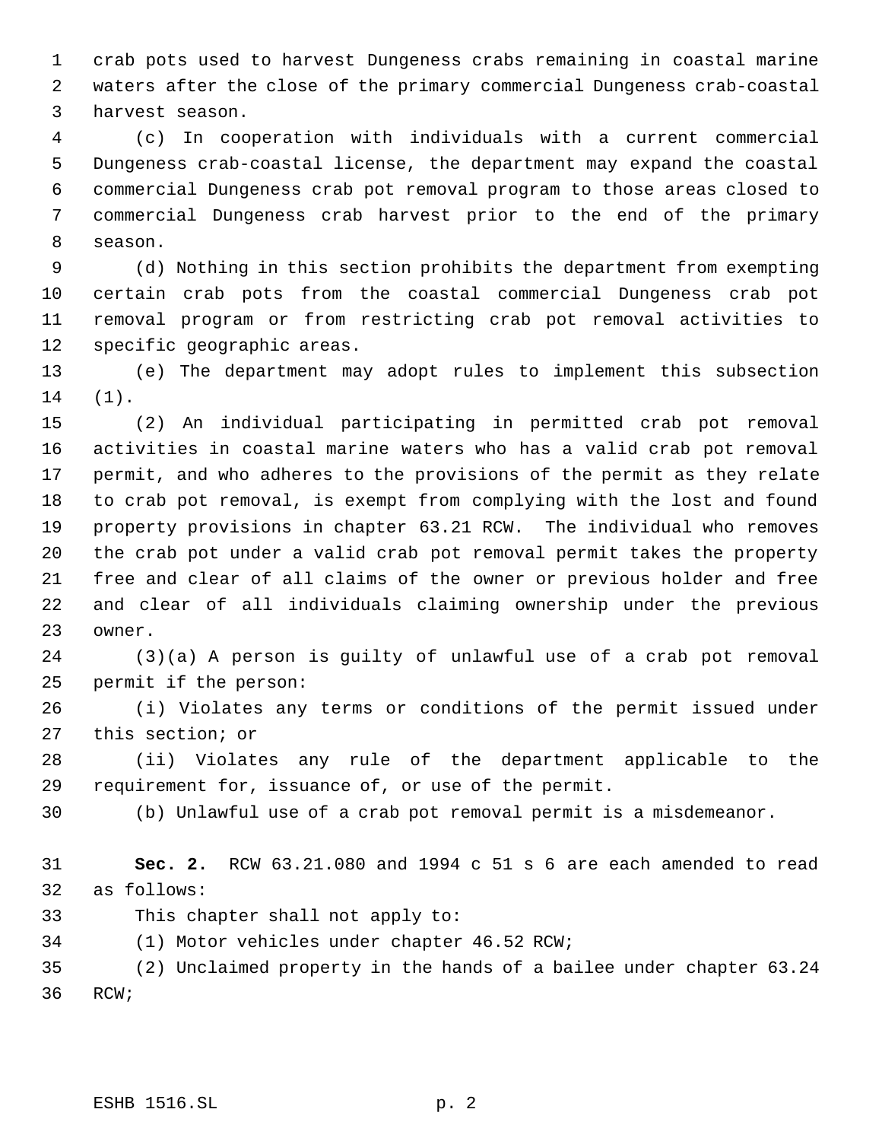crab pots used to harvest Dungeness crabs remaining in coastal marine waters after the close of the primary commercial Dungeness crab-coastal harvest season.

 (c) In cooperation with individuals with a current commercial Dungeness crab-coastal license, the department may expand the coastal commercial Dungeness crab pot removal program to those areas closed to commercial Dungeness crab harvest prior to the end of the primary season.

 (d) Nothing in this section prohibits the department from exempting certain crab pots from the coastal commercial Dungeness crab pot removal program or from restricting crab pot removal activities to specific geographic areas.

 (e) The department may adopt rules to implement this subsection (1).

 (2) An individual participating in permitted crab pot removal activities in coastal marine waters who has a valid crab pot removal permit, and who adheres to the provisions of the permit as they relate to crab pot removal, is exempt from complying with the lost and found property provisions in chapter 63.21 RCW. The individual who removes the crab pot under a valid crab pot removal permit takes the property free and clear of all claims of the owner or previous holder and free and clear of all individuals claiming ownership under the previous owner.

 (3)(a) A person is guilty of unlawful use of a crab pot removal permit if the person:

 (i) Violates any terms or conditions of the permit issued under this section; or

 (ii) Violates any rule of the department applicable to the requirement for, issuance of, or use of the permit.

(b) Unlawful use of a crab pot removal permit is a misdemeanor.

 **Sec. 2.** RCW 63.21.080 and 1994 c 51 s 6 are each amended to read as follows:

This chapter shall not apply to:

(1) Motor vehicles under chapter 46.52 RCW;

 (2) Unclaimed property in the hands of a bailee under chapter 63.24 RCW;